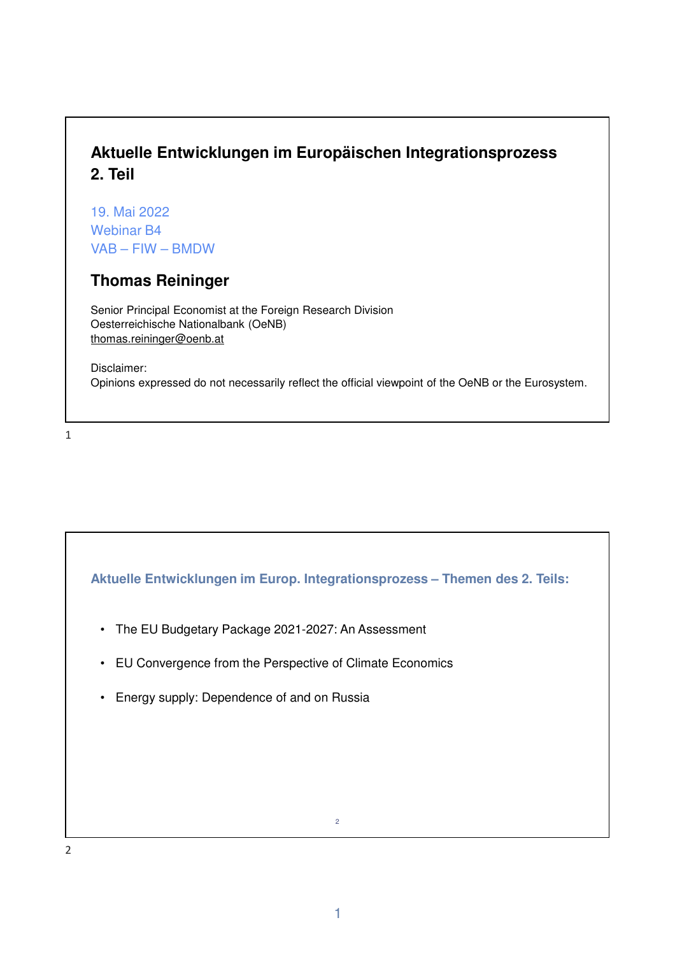# **Aktuelle Entwicklungen im Europäischen Integrationsprozess 2. Teil**

19. Mai 2022 Webinar B4 VAB – FIW – BMDW

## **Thomas Reininger**

Senior Principal Economist at the Foreign Research Division Oesterreichische Nationalbank (OeNB) thomas.reininger@oenb.at

Disclaimer: Opinions expressed do not necessarily reflect the official viewpoint of the OeNB or the Eurosystem.

1

**Aktuelle Entwicklungen im Europ. Integrationsprozess – Themen des 2. Teils:**

- The EU Budgetary Package 2021-2027: An Assessment
- EU Convergence from the Perspective of Climate Economics
- Energy supply: Dependence of and on Russia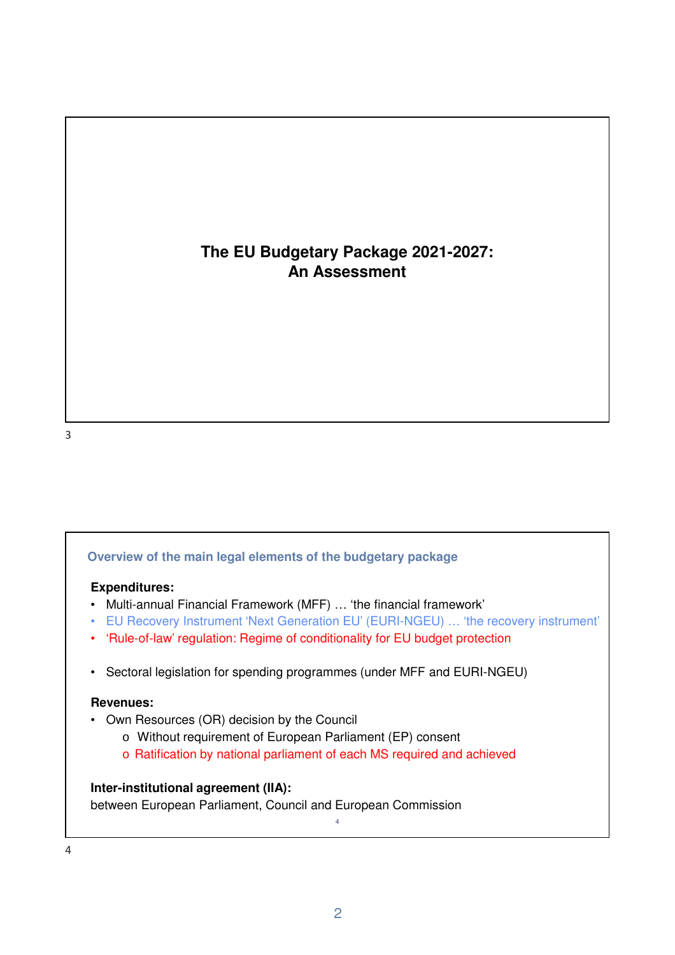## **The EU Budgetary Package 2021-2027: An Assessment**

### **Overview of the main legal elements of the budgetary package**

#### **Expenditures:**

- Multi-annual Financial Framework (MFF) … 'the financial framework'
- EU Recovery Instrument 'Next Generation EU' (EURI-NGEU) … 'the recovery instrument'
- 'Rule-of-law' regulation: Regime of conditionality for EU budget protection
- Sectoral legislation for spending programmes (under MFF and EURI-NGEU)

#### **Revenues:**

- Own Resources (OR) decision by the Council
	- o Without requirement of European Parliament (EP) consent
	- o Ratification by national parliament of each MS required and achieved

#### **Inter-institutional agreement (IIA):**

between European Parliament, Council and European Commission

4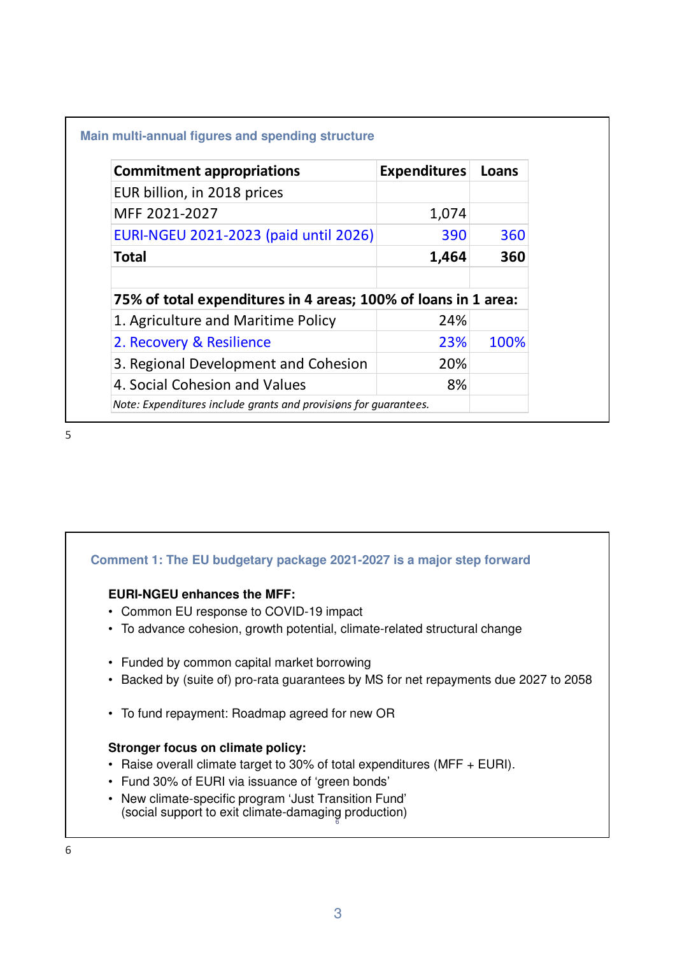### **Main multi-annual figures and spending structure**

| <b>Commitment appropriations</b>                                 | <b>Expenditures</b> | Loans |  |
|------------------------------------------------------------------|---------------------|-------|--|
| EUR billion, in 2018 prices                                      |                     |       |  |
| MFF 2021-2027                                                    | 1,074               |       |  |
| EURI-NGEU 2021-2023 (paid until 2026)                            | 390                 | 360   |  |
| <b>Total</b>                                                     | 1,464               | 360   |  |
|                                                                  |                     |       |  |
| 75% of total expenditures in 4 areas; 100% of loans in 1 area:   |                     |       |  |
| 1. Agriculture and Maritime Policy                               | 24%                 |       |  |
| 2. Recovery & Resilience                                         | 23%                 | 100%  |  |
| 3. Regional Development and Cohesion                             | 20%                 |       |  |
| 4. Social Cohesion and Values                                    | 8%                  |       |  |
| Note: Expenditures include grants and provisions for quarantees. |                     |       |  |

5

## **Comment 1: The EU budgetary package 2021-2027 is a major step forward**

### **EURI-NGEU enhances the MFF:**

- Common EU response to COVID-19 impact
- To advance cohesion, growth potential, climate-related structural change
- Funded by common capital market borrowing
- Backed by (suite of) pro-rata guarantees by MS for net repayments due 2027 to 2058
- To fund repayment: Roadmap agreed for new OR

#### **Stronger focus on climate policy:**

- Raise overall climate target to 30% of total expenditures (MFF + EURI).
- Fund 30% of EURI via issuance of 'green bonds'
- 6 (social support to exit climate-damaging production) • New climate-specific program 'Just Transition Fund'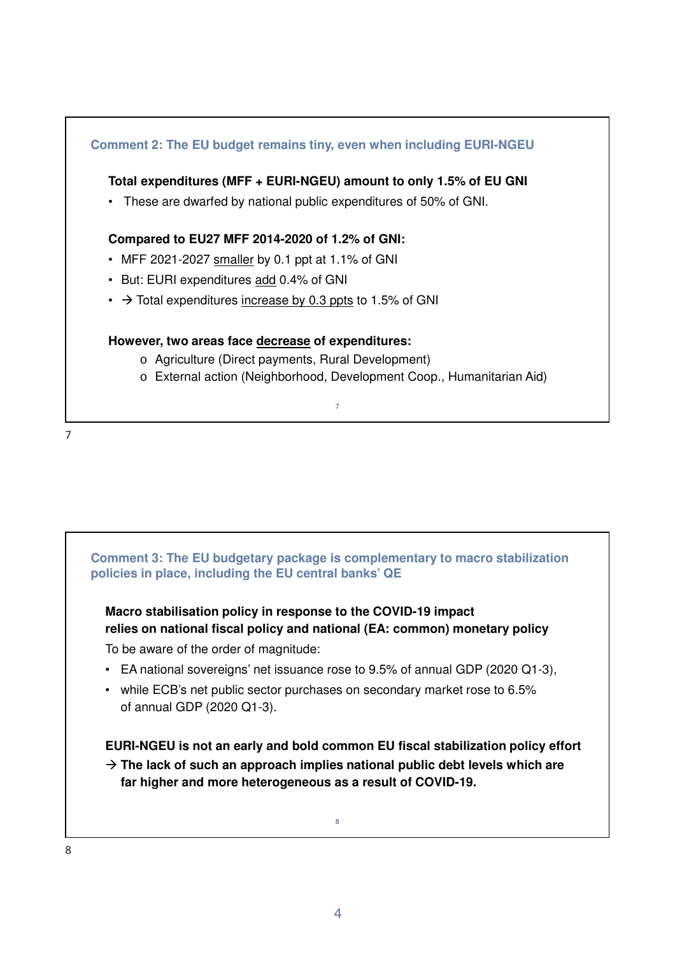

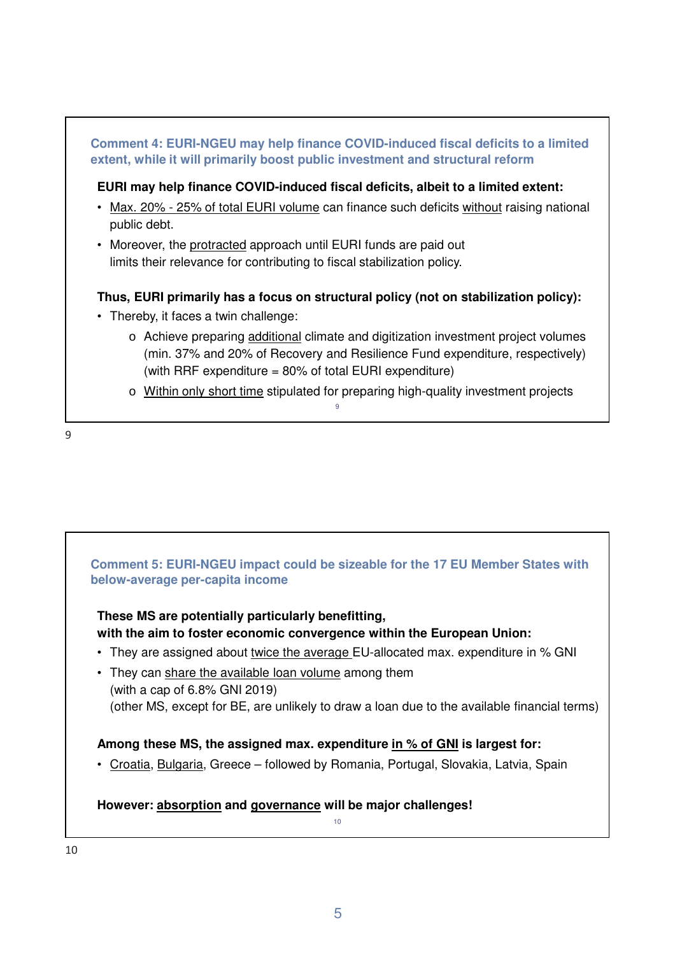

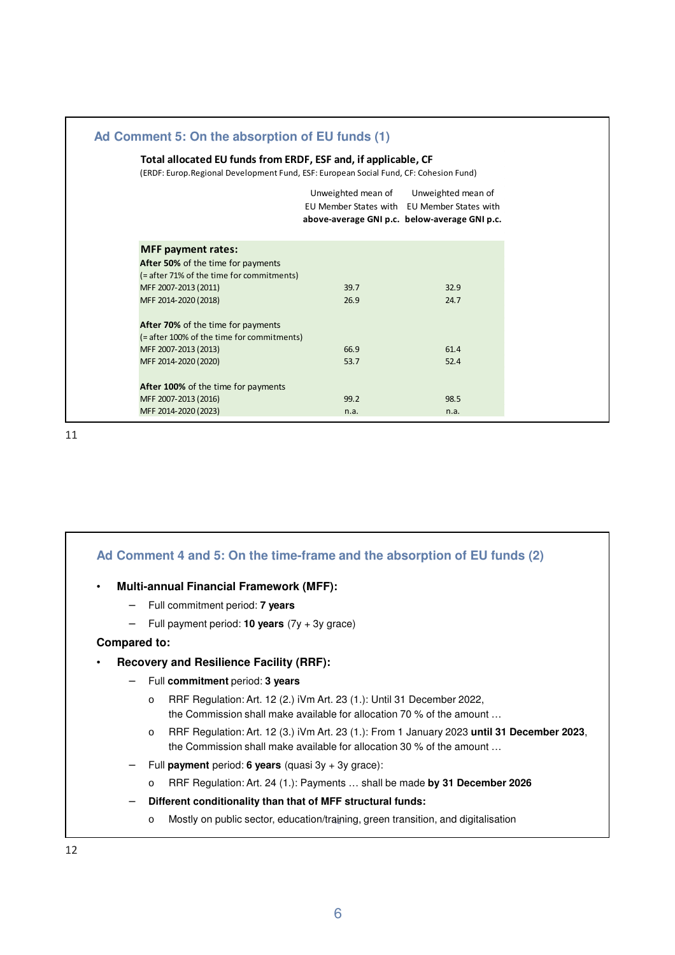| Total allocated EU funds from ERDF, ESF and, if applicable, CF<br>(ERDF: Europ. Regional Development Fund, ESF: European Social Fund, CF: Cohesion Fund) |      |                                                                                                                                       |
|----------------------------------------------------------------------------------------------------------------------------------------------------------|------|---------------------------------------------------------------------------------------------------------------------------------------|
|                                                                                                                                                          |      | Unweighted mean of Unweighted mean of<br>EU Member States with EU Member States with<br>above-average GNI p.c. below-average GNI p.c. |
| <b>MFF</b> payment rates:                                                                                                                                |      |                                                                                                                                       |
| After 50% of the time for payments                                                                                                                       |      |                                                                                                                                       |
| (= after 71% of the time for commitments)                                                                                                                |      |                                                                                                                                       |
| MFF 2007-2013 (2011)                                                                                                                                     | 39.7 | 32.9                                                                                                                                  |
| MFF 2014-2020 (2018)                                                                                                                                     | 26.9 | 24.7                                                                                                                                  |
| After 70% of the time for payments                                                                                                                       |      |                                                                                                                                       |
| (= after 100% of the time for commitments)                                                                                                               |      |                                                                                                                                       |
| MFF 2007-2013 (2013)                                                                                                                                     | 66.9 | 61.4                                                                                                                                  |
| MFF 2014-2020 (2020)                                                                                                                                     | 53.7 | 52.4                                                                                                                                  |
| After 100% of the time for payments                                                                                                                      |      |                                                                                                                                       |
| MFF 2007-2013 (2016)                                                                                                                                     | 99.2 | 98.5                                                                                                                                  |
| MFF 2014-2020 (2023)                                                                                                                                     | n.a. | n.a.                                                                                                                                  |
|                                                                                                                                                          |      |                                                                                                                                       |

| Ad Comment 4 and 5: On the time-frame and the absorption of EU funds (2)                                                                                                       |
|--------------------------------------------------------------------------------------------------------------------------------------------------------------------------------|
| <b>Multi-annual Financial Framework (MFF):</b><br>$\bullet$                                                                                                                    |
| Full commitment period: <b>7 years</b><br>$\qquad \qquad -$                                                                                                                    |
| Full payment period: <b>10 years</b> $(7y + 3y)$ grace)<br>$\overline{\phantom{0}}$                                                                                            |
| <b>Compared to:</b>                                                                                                                                                            |
| <b>Recovery and Resilience Facility (RRF):</b><br>٠                                                                                                                            |
| Full commitment period: 3 years<br>$\overline{\phantom{m}}$                                                                                                                    |
| RRF Regulation: Art. 12 (2.) iVm Art. 23 (1.): Until 31 December 2022,<br>$\circ$<br>the Commission shall make available for allocation 70 % of the amount                     |
| RRF Regulation: Art. 12 (3.) iVm Art. 23 (1.): From 1 January 2023 until 31 December 2023,<br>$\circ$<br>the Commission shall make available for allocation 30 % of the amount |
| Full payment period: 6 years (quasi $3y + 3y$ grace):<br>$\overline{\phantom{m}}$                                                                                              |
| RRF Regulation: Art. 24 (1.): Payments  shall be made by 31 December 2026<br>$\circ$                                                                                           |
| Different conditionality than that of MFF structural funds:<br>$\qquad \qquad -$                                                                                               |
| Mostly on public sector, education/training, green transition, and digitalisation<br>$\circ$                                                                                   |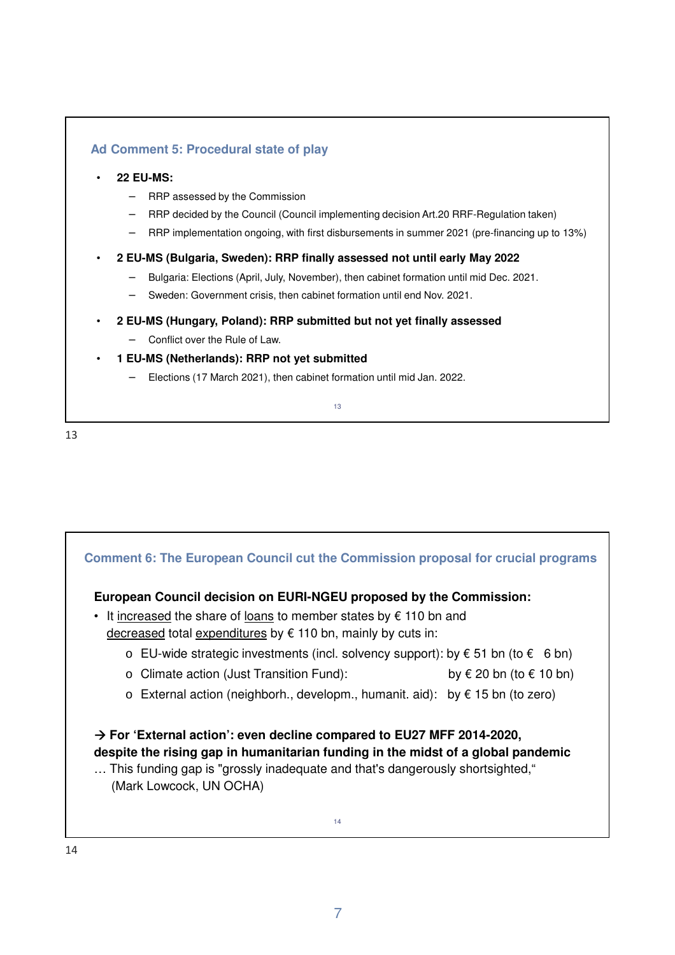### **Ad Comment 5: Procedural state of play**

#### • **22 EU-MS:**

- − RRP assessed by the Commission
- − RRP decided by the Council (Council implementing decision Art.20 RRF-Regulation taken)
- − RRP implementation ongoing, with first disbursements in summer 2021 (pre-financing up to 13%)

#### • **2 EU-MS (Bulgaria, Sweden): RRP finally assessed not until early May 2022**

- − Bulgaria: Elections (April, July, November), then cabinet formation until mid Dec. 2021.
- − Sweden: Government crisis, then cabinet formation until end Nov. 2021.
- **2 EU-MS (Hungary, Poland): RRP submitted but not yet finally assessed**
	- − Conflict over the Rule of Law.
- **1 EU-MS (Netherlands): RRP not yet submitted**
	- − Elections (17 March 2021), then cabinet formation until mid Jan. 2022.

13

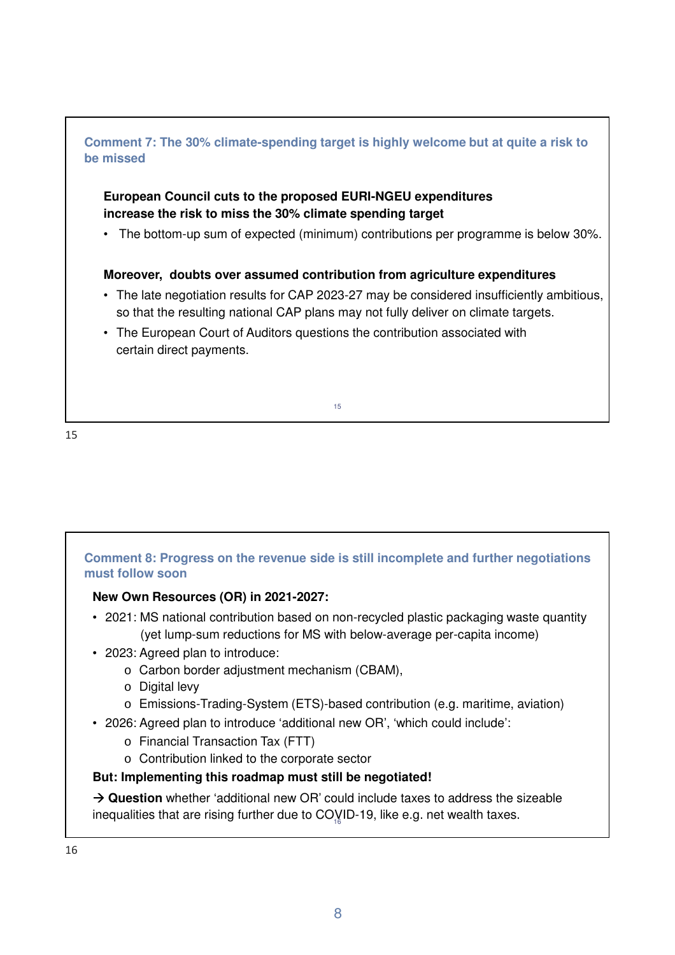

# **Comment 8: Progress on the revenue side is still incomplete and further negotiations must follow soon**

## **New Own Resources (OR) in 2021-2027:**

- 2021: MS national contribution based on non-recycled plastic packaging waste quantity (yet lump-sum reductions for MS with below-average per-capita income)
- 2023: Agreed plan to introduce:
	- o Carbon border adjustment mechanism (CBAM),
	- o Digital levy
	- o Emissions-Trading-System (ETS)-based contribution (e.g. maritime, aviation)
- 2026: Agreed plan to introduce 'additional new OR', 'which could include':
	- o Financial Transaction Tax (FTT)
	- o Contribution linked to the corporate sector

## **But: Implementing this roadmap must still be negotiated!**

inequalities that are rising further due to CO $\mathrm{V}$ ID-19, like e.g. net wealth taxes. **→ Question** whether 'additional new OR' could include taxes to address the sizeable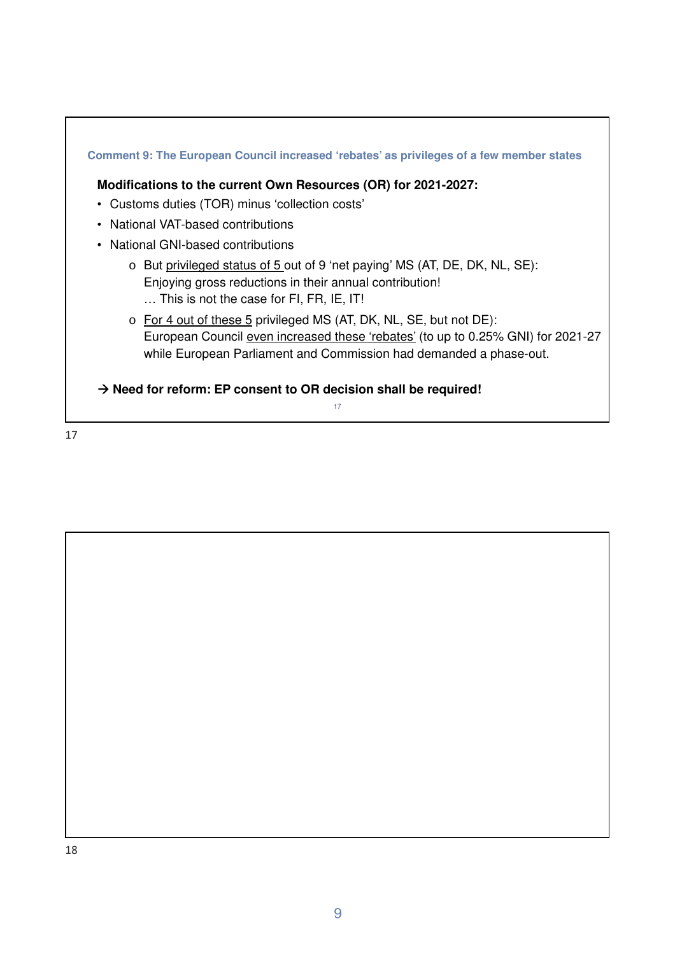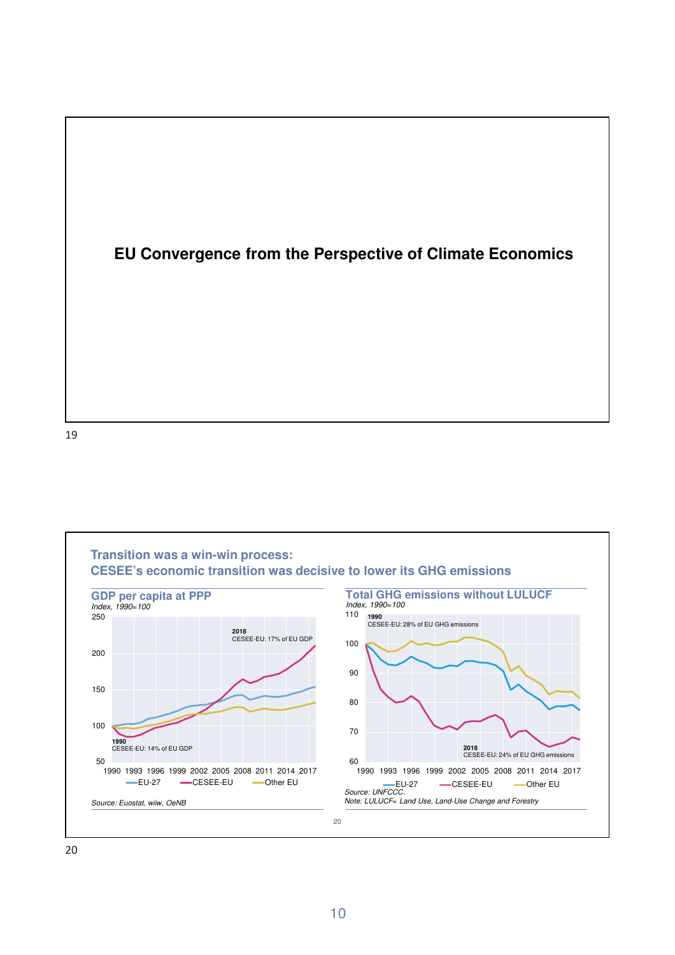



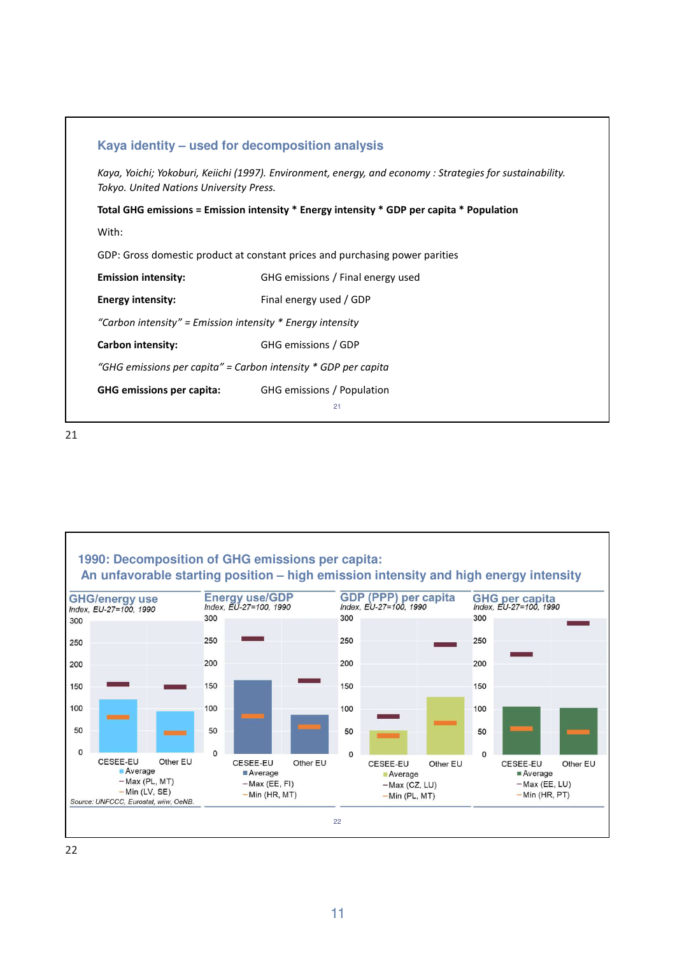

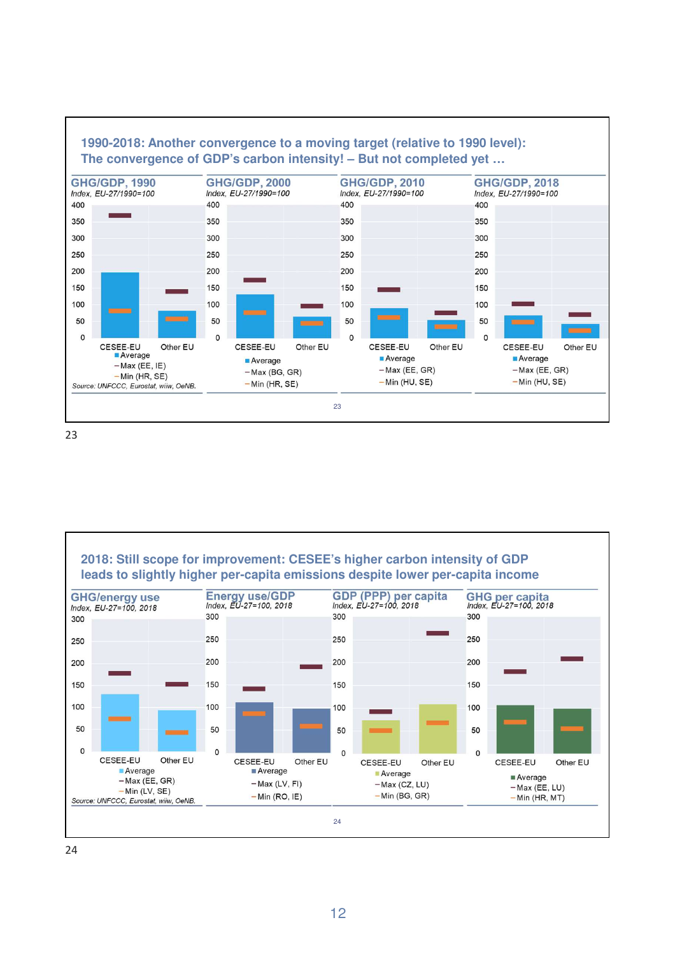

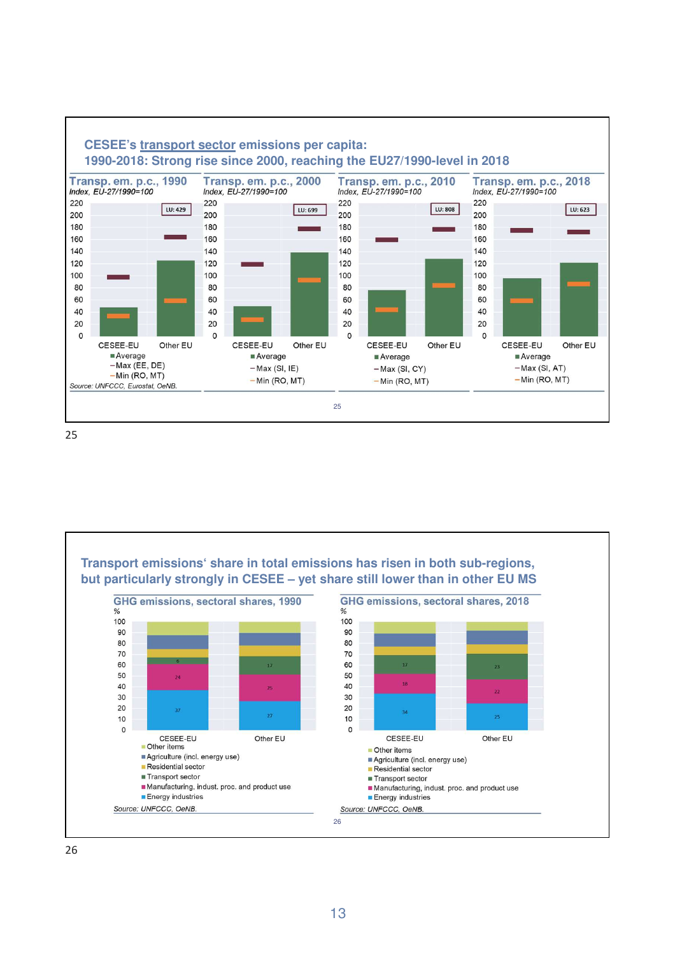

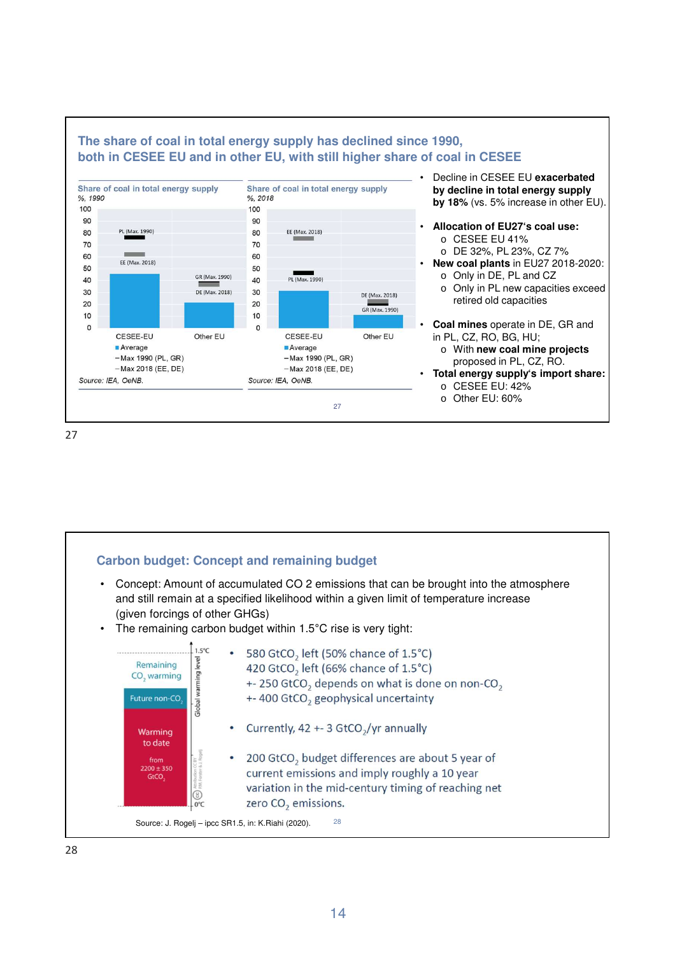



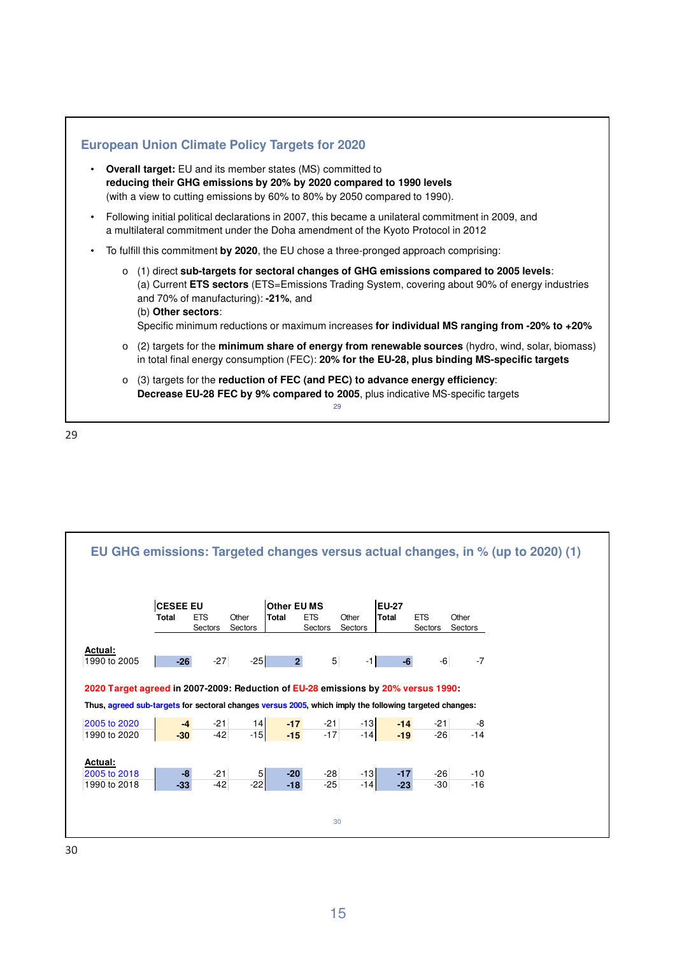



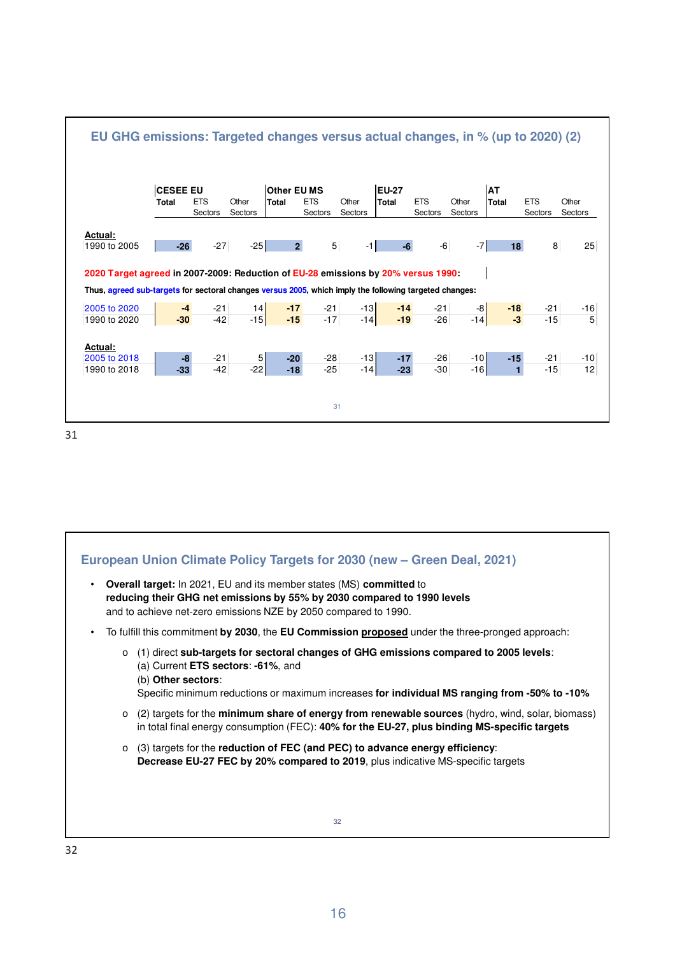

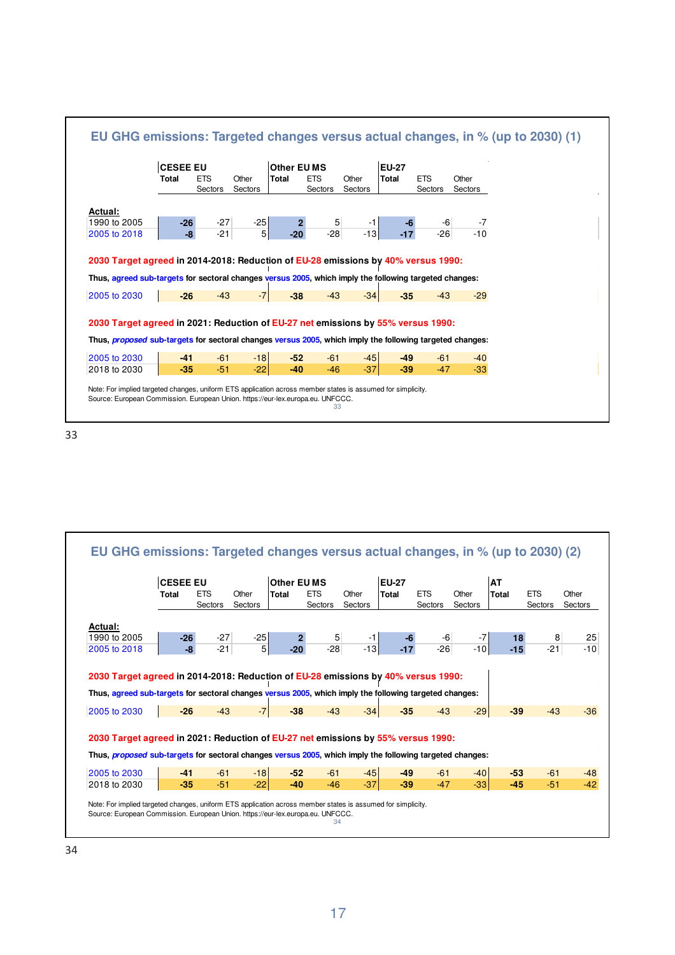



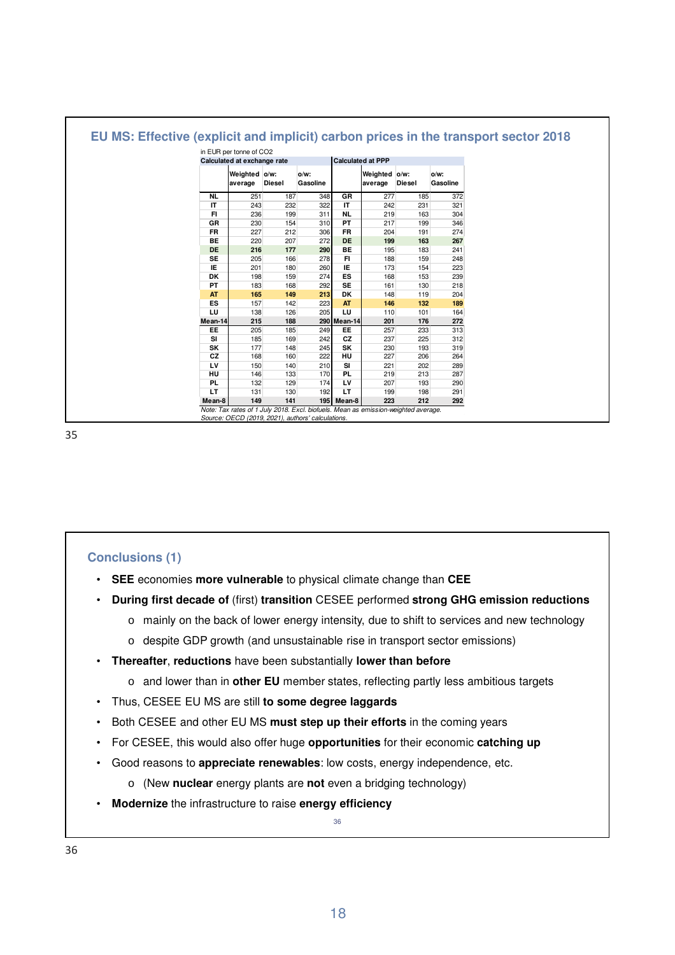|           | in EUR per tonne of CO2     |               |          |             |                          |               |          |  |
|-----------|-----------------------------|---------------|----------|-------------|--------------------------|---------------|----------|--|
|           | Calculated at exchange rate |               |          |             | <b>Calculated at PPP</b> |               |          |  |
|           | Weighted o/w:               |               | $o/w$ :  |             | Weighted o/w:            |               | $O/W$ :  |  |
|           | average                     | <b>Diesel</b> | Gasoline |             | average                  | <b>Diesel</b> | Gasoline |  |
| NL        | 251                         | 187           | 348      | GR          | 277                      | 185           | 372      |  |
| IT        | 243                         | 232           | 322      | IT          | 242                      | 231           | 321      |  |
| FI        | 236                         | 199           | 311      | <b>NL</b>   | 219                      | 163           | 304      |  |
| GR        | 230                         | 154           | 310      | PT          | 217                      | 199           | 346      |  |
| <b>FR</b> | 227                         | 212           | 306      | <b>FR</b>   | 204                      | 191           | 274      |  |
| <b>BE</b> | 220                         | 207           | 272      | <b>DE</b>   | 199                      | 163           | 267      |  |
| <b>DE</b> | 216                         | 177           | 290      | <b>BE</b>   | 195                      | 183           | 241      |  |
| <b>SE</b> | 205                         | 166           | 278      | FI          | 188                      | 159           | 248      |  |
| IE        | 201                         | 180           | 260      | IE          | 173                      | 154           | 223      |  |
| DK        | 198                         | 159           | 274      | ES          | 168                      | 153           | 239      |  |
| PT        | 183                         | 168           | 292      | <b>SE</b>   | 161                      | 130           | 218      |  |
| <b>AT</b> | 165                         | 149           | 213      | <b>DK</b>   | 148                      | 119           | 204      |  |
| ES        | 157                         | 142           | 223      | AT          | 146                      | 132           | 189      |  |
| LU        | 138                         | 126           | 205      | LU          | 110                      | 101           | 164      |  |
| Mean-14   | 215                         | 188           |          | 290 Mean-14 | 201                      | 176           | 272      |  |
| EE        | 205                         | 185           | 249      | EE          | 257                      | 233           | 313      |  |
| <b>SI</b> | 185                         | 169           | 242      | <b>CZ</b>   | 237                      | 225           | 312      |  |
| SK        | 177                         | 148           | 245      | SK          | 230                      | 193           | 319      |  |
| <b>CZ</b> | 168                         | 160           | 222      | HU          | 227                      | 206           | 264      |  |
| LV        | 150                         | 140           | 210      | SI          | 221                      | 202           | 289      |  |
| HU        | 146                         | 133           | 170      | PL.         | 219                      | 213           | 287      |  |
| PL.       | 132                         | 129           | 174      | LV          | 207                      | 193           | 290      |  |
| LT        | 131                         | 130           | 192      | LT          | 199                      | 198           | 291      |  |
| Mean-8    | 149                         | 141           |          | 195 Mean-8  | 223                      | 212           | 292      |  |

#### **Conclusions (1)**

- **SEE** economies **more vulnerable** to physical climate change than **CEE**
- **During first decade of** (first) **transition** CESEE performed **strong GHG emission reductions**
	- o mainly on the back of lower energy intensity, due to shift to services and new technology
	- o despite GDP growth (and unsustainable rise in transport sector emissions)
- **Thereafter**, **reductions** have been substantially **lower than before** 
	- o and lower than in **other EU** member states, reflecting partly less ambitious targets
- Thus, CESEE EU MS are still **to some degree laggards**
- Both CESEE and other EU MS **must step up their efforts** in the coming years
- For CESEE, this would also offer huge **opportunities** for their economic **catching up**
- Good reasons to **appreciate renewables**: low costs, energy independence, etc.
	- o (New **nuclear** energy plants are **not** even a bridging technology)
- **Modernize** the infrastructure to raise **energy efficiency**

36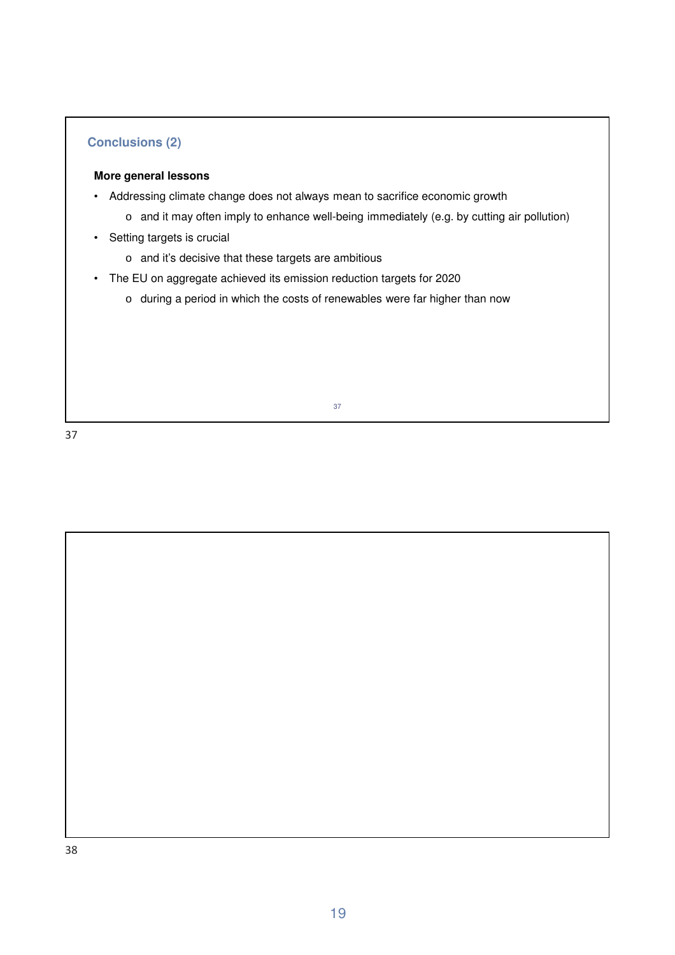### **Conclusions (2)**

#### **More general lessons**

- Addressing climate change does not always mean to sacrifice economic growth
	- o and it may often imply to enhance well-being immediately (e.g. by cutting air pollution)
- Setting targets is crucial
	- o and it's decisive that these targets are ambitious
- The EU on aggregate achieved its emission reduction targets for 2020
	- o during a period in which the costs of renewables were far higher than now

37